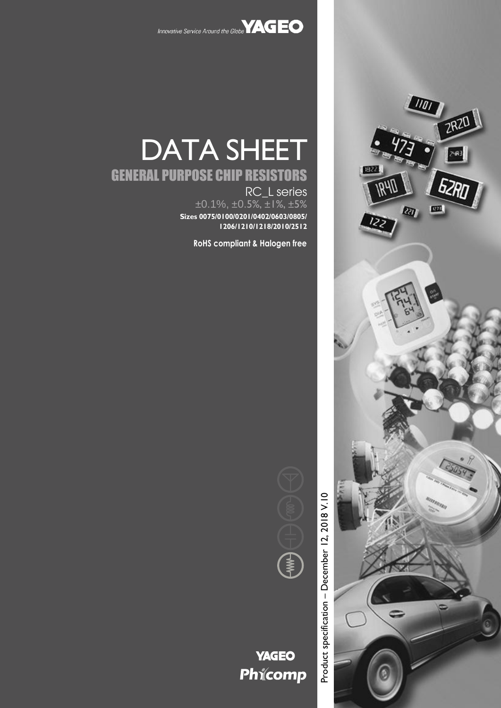

DATA SHEET

RC\_L series

 $\pm 0.1\%$ ,  $\pm 0.5\%$ ,  $\pm 1\%$ ,  $\pm 5\%$ **Sizes 0075/0100/0201/0402/0603/0805/**

**RoHS compliant & Halogen free**

**1206/1210/1218/2010/2512**

GENERAL PURPOSE CHIP RESISTORS



Product specification - December 12, 2018 V.10 – December 12, 2018 V.10Product specification



# **YAGEO** Phicomp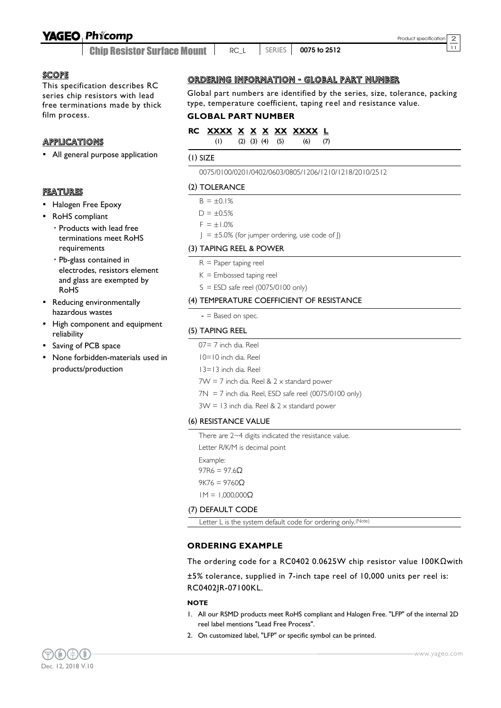### **YAGEO Phicomp**

Chip Resistor Surface Mount <sup>11</sup> RC\_L SERIES **0075 to 2512**

#### **SCOPE**

This specification describes RC series chip resistors with lead free terminations made by thick film process.

### **APPLICATIONS**

All general purpose application

#### FEATURES

- Halogen Free Epoxy
- RoHS compliant
	- Products with lead free terminations meet RoHS requirements
	- Pb-glass contained in electrodes, resistors element and glass are exempted by RoHS
- Reducing environmentally hazardous wastes
- High component and equipment reliability
- Saving of PCB space
- None forbidden-materials used in products/production

#### ORDERING INFORMATION - GLOBAL PART NUMBER

Global part numbers are identified by the series, size, tolerance, packing type, temperature coefficient, taping reel and resistance value.

#### **GLOBAL PART NUMBER**

**RC XXXX X X X XX XXXX L** (1) (2) (3) (4) (5) (6) (7)

### (1) SIZE

0075/0100/0201/0402/0603/0805/1206/1210/1218/2010/2512

#### (2) TOLERANCE

- $B = \pm 0.1\%$
- $D = \pm 0.5%$  $F = \pm 1.0\%$

 $J = \pm 5.0\%$  (for jumper ordering, use code of J)

#### (3) TAPING REEL & POWER

- $R =$  Paper taping reel
- $K =$  Embossed taping reel
- $S = ESD$  safe reel (0075/0100 only)

#### (4) TEMPERATURE COEFFICIENT OF RESISTANCE

 $-$  = Based on spec.

#### (5) TAPING REEL

- 07= 7 inch dia. Reel
- 10=10 inch dia. Reel
- 13=13 inch dia. Reel
- $7W = 7$  inch dia. Reel &  $2 \times$  standard power
- $7N = 7$  inch dia. Reel, ESD safe reel (0075/0100 only)

 $3W = 13$  inch dia. Reel &  $2 \times$  standard power

#### (6) RESISTANCE VALUE

There are 2~4 digits indicated the resistance value.

Letter R/K/M is decimal point

Example:

 $97R6 = 97.6$ Ω

9K76 = 9760 $Ω$ 

1M = 1,000,000Ω

#### (7) DEFAULT CODE

Letter L is the system default code for ordering only.<sup>(Note)</sup>

#### **ORDERING EXAMPLE**

The ordering code for a RC0402 0.0625W chip resistor value 100KΩwith

±5% tolerance, supplied in 7-inch tape reel of 10,000 units per reel is: RC0402JR-07100KL.

#### **NOTE**

- 1. All our RSMD products meet RoHS compliant and Halogen Free. "LFP" of the internal 2D reel label mentions "Lead Free Process".
- 2. On customized label, "LFP" or specific symbol can be printed.

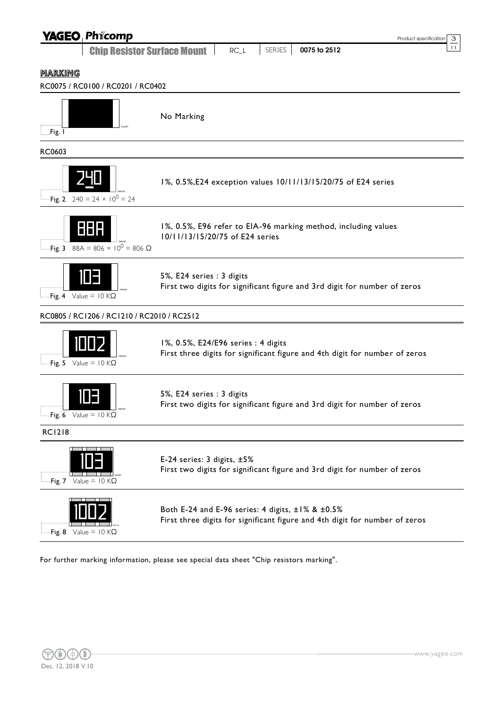| <b>YAGEO Phicomp</b>                                 | Product specification                                                                                                           | 3  |
|------------------------------------------------------|---------------------------------------------------------------------------------------------------------------------------------|----|
| <b>Chip Resistor Surface Mount</b>                   | SERIES<br>0075 to 2512<br>$RC_L$                                                                                                | 11 |
| <u>MARKING</u>                                       |                                                                                                                                 |    |
| RC0075 / RC0100 / RC0201 / RC0402                    |                                                                                                                                 |    |
| Fig. I                                               | No Marking                                                                                                                      |    |
| RC0603                                               |                                                                                                                                 |    |
| Fig. 2 240 = 24 $\times$ 10 <sup>0</sup> = 24        | 1%, 0.5%, E24 exception values 10/11/13/15/20/75 of E24 series                                                                  |    |
| 888<br>Fig. 3 $88A = 806 \times 10^{0} = 806 \Omega$ | 1%, 0.5%, E96 refer to EIA-96 marking method, including values<br>10/11/13/15/20/75 of E24 series                               |    |
| I E J<br>Fig. 4 Value = $10 K\Omega$                 | 5%, E24 series : 3 digits<br>First two digits for significant figure and 3rd digit for number of zeros                          |    |
| RC0805 / RC1206 / RC1210 / RC2010 / RC2512           |                                                                                                                                 |    |
| Fig. 5 Value = $10 K\Omega$                          | 1%, 0.5%, E24/E96 series : 4 digits<br>First three digits for significant figure and 4th digit for number of zeros              |    |
| Fig. 6 Value = $10 K\Omega$                          | 5%, E24 series : 3 digits<br>First two digits for significant figure and 3rd digit for number of zeros                          |    |
| <b>RC1218</b>                                        |                                                                                                                                 |    |
| Fig. 7 Value = $10 K\Omega$                          | E-24 series: 3 digits, ±5%<br>First two digits for significant figure and 3rd digit for number of zeros                         |    |
| Fig. 8 Value = $10 K\Omega$                          | Both E-24 and E-96 series: 4 digits, ±1% & ±0.5%<br>First three digits for significant figure and 4th digit for number of zeros |    |

For further marking information, please see special data sheet "Chip resistors marking".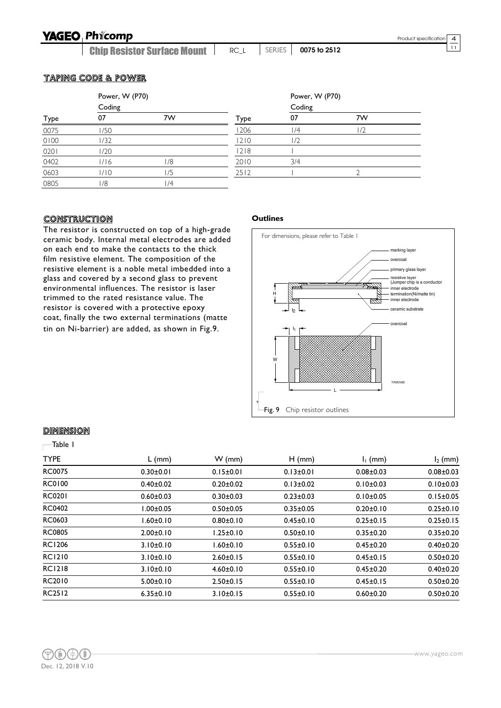Chip Resistor Surface Mount <sup>11</sup> RC\_L SERIES **0075 to 2512**

#### TAPING CODE & POWER

|      | Power, W (P70) |     |      | Power, W (P70) |    |  |
|------|----------------|-----|------|----------------|----|--|
|      | Coding         |     |      | Coding         |    |  |
| Type | 07             | 7W  | Type | 07             | 7W |  |
| 0075 | 1/50           |     | 1206 | /4             |    |  |
| 0100 | 1/32           |     | 1210 | 1/2            |    |  |
| 0201 | 1/20           |     | 1218 |                |    |  |
| 0402 | 1/16           | 1/8 | 2010 | 3/4            |    |  |
| 0603 | 1/10           | 1/5 | 2512 |                |    |  |
| 0805 | 1/8            | ۱/4 |      |                |    |  |

#### CONSTRUCTION

The resistor is constructed on top of a high-grade ceramic body. Internal metal electrodes are added on each end to make the contacts to the thick film resistive element. The composition of the resistive element is a noble metal imbedded into a glass and covered by a second glass to prevent environmental influences. The resistor is laser trimmed to the rated resistance value. The resistor is covered with a protective epoxy coat, finally the two external terminations (matte tin on Ni-barrier) are added, as shown in Fig.9.

#### **Outlines**



#### **DIMENSION**

#### Table 1  $\Gamma$

| <b>TYPE</b>   | $L$ (mm)        | $W$ (mm)        | $H$ (mm)        | $I1$ (mm)       | $I_2$ (mm)      |
|---------------|-----------------|-----------------|-----------------|-----------------|-----------------|
| <b>RC0075</b> | $0.30 \pm 0.01$ | $0.15 \pm 0.01$ | $0.13 \pm 0.01$ | $0.08 + 0.03$   | $0.08 \pm 0.03$ |
| <b>RC0100</b> | $0.40 + 0.02$   | $0.20 + 0.02$   | $0.13 \pm 0.02$ | $0.10 \pm 0.03$ | $0.10 \pm 0.03$ |
| <b>RC0201</b> | $0.60 + 0.03$   | $0.30 + 0.03$   | $0.23 \pm 0.03$ | $0.10 + 0.05$   | $0.15 \pm 0.05$ |
| <b>RC0402</b> | $1.00 \pm 0.05$ | $0.50 + 0.05$   | $0.35 \pm 0.05$ | $0.20 \pm 0.10$ | $0.25 \pm 0.10$ |
| RC0603        | 1.60±0.10       | $0.80 + 0.10$   | $0.45 \pm 0.10$ | $0.25 \pm 0.15$ | $0.25 \pm 0.15$ |
| <b>RC0805</b> | $2.00 \pm 0.10$ | $1.25 \pm 0.10$ | $0.50 \pm 0.10$ | $0.35 \pm 0.20$ | $0.35 \pm 0.20$ |
| <b>RC1206</b> | $3.10 \pm 0.10$ | $1.60 \pm 0.10$ | $0.55 \pm 0.10$ | $0.45 \pm 0.20$ | $0.40 \pm 0.20$ |
| <b>RC1210</b> | $3.10 \pm 0.10$ | $2.60 \pm 0.15$ | $0.55 \pm 0.10$ | $0.45 \pm 0.15$ | $0.50 + 0.20$   |
| <b>RC1218</b> | $3.10 \pm 0.10$ | $4.60 \pm 0.10$ | $0.55 \pm 0.10$ | $0.45 \pm 0.20$ | $0.40 + 0.20$   |
| RC2010        | $5.00 \pm 0.10$ | $2.50 \pm 0.15$ | $0.55 \pm 0.10$ | $0.45 \pm 0.15$ | $0.50 + 0.20$   |
| <b>RC2512</b> | $6.35 \pm 0.10$ | $3.10 \pm 0.15$ | $0.55 \pm 0.10$ | $0.60 + 0.20$   | $0.50 + 0.20$   |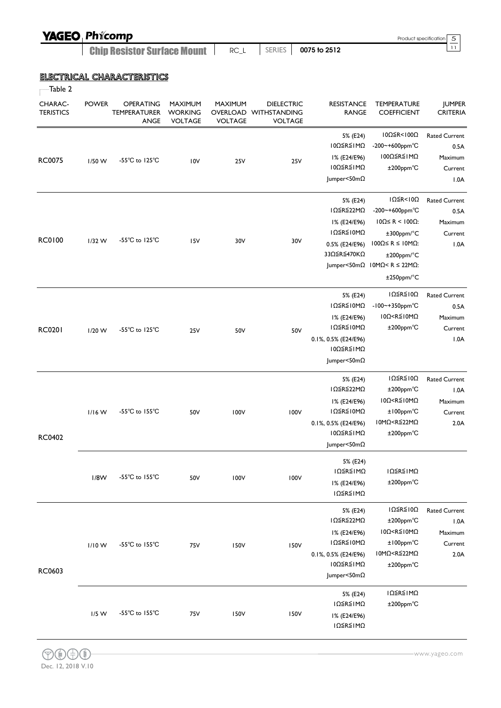| <b>YAGEO Phicomp</b>               |      |        |              | Product specification 5 |  |
|------------------------------------|------|--------|--------------|-------------------------|--|
| <b>Chip Resistor Surface Mount</b> | RC L | SERIES | 0075 to 2512 |                         |  |

### ELECTRICAL CHARACTERISTICS

| гагже |  |
|-------|--|
|-------|--|

| CHARAC-<br><b>TERISTICS</b> | <b>POWER</b> | OPERATING<br><b>TEMPERATURER</b><br>ANGE | MAXIMUM<br><b>WORKING</b><br><b>VOLTAGE</b> | MAXIMUM<br><b>VOLTAGE</b> | <b>DIELECTRIC</b><br>OVERLOAD WITHSTANDING<br><b>VOLTAGE</b> | <b>RESISTANCE</b><br><b>RANGE</b>                                                                      | <b>TEMPERATURE</b><br><b>COEFFICIENT</b>                                                                                                                                                                                             | <b>JUMPER</b><br><b>CRITERIA</b>                           |
|-----------------------------|--------------|------------------------------------------|---------------------------------------------|---------------------------|--------------------------------------------------------------|--------------------------------------------------------------------------------------------------------|--------------------------------------------------------------------------------------------------------------------------------------------------------------------------------------------------------------------------------------|------------------------------------------------------------|
| <b>RC0075</b>               | $1/50$ W     | -55°C to 125°C                           | 10V                                         | 25V                       | <b>25V</b>                                                   | 5% (E24)<br>ΙΟΩ≦R≦ΙΜΩ<br>I% (E24/E96)<br>10Ω≦R≦IMΩ<br>Jumper<50mΩ                                      | 10Ω≦R<100Ω<br>-200~+600ppm°C<br>100Ω≦R≦1MΩ<br>±200ppm°C                                                                                                                                                                              | <b>Rated Current</b><br>0.5A<br>Maximum<br>Current<br>1.0A |
| <b>RC0100</b>               | $1/32$ W     | -55 $^{\circ}$ C to 125 $^{\circ}$ C     | I <sub>5</sub> V                            | 30V                       | 30V                                                          | 5% (E24)<br>IΩ≦R≦22MΩ<br>I% (E24/E96)<br>ΙΩ≦R≦Ι0ΜΩ<br>0.5% (E24/E96)<br>33Ω≦R≦470KΩ                    | $I\Omega \leq R < I\Omega$<br>-200~+600ppm°C<br>$10Ω ≤ R < 100Ω$ :<br>$±300$ ppm/ $°C$<br>100Ω ≤ R ≤ 10MΩ<br>±200ppm/°C<br>Jumper<50m $\Omega$ 10M $\Omega$ <r 22m<math="" ≤="">\Omega:<br/><math>±250</math>ppm/<math>°C</math></r> | <b>Rated Current</b><br>0.5A<br>Maximum<br>Current<br>1.0A |
| <b>RC0201</b>               | $1/20$ W     | -55 $^{\circ}$ C to 125 $^{\circ}$ C     | 25V                                         | 50V                       | 50V                                                          | 5% (E24)<br>ΙΩ≦R≦Ι0ΜΩ<br>I% (E24/E96)<br>ΙΩ≦R≦Ι0ΜΩ<br>0.1%, 0.5% (E24/E96)<br>10Ω≦R≦IMΩ<br>Jumper<50mΩ | $I\Omega \leq R \leq I\ 0\Omega$<br>$-100$ ~+350ppm°C<br>$10\Omega < R \le 10 M\Omega$<br>±200ppm°C                                                                                                                                  | <b>Rated Current</b><br>0.5A<br>Maximum<br>Current<br>1.0A |
| RC0402                      | $1/16$ W     | -55 $^{\circ}$ C to 155 $^{\circ}$ C     | 50V                                         | 100V                      | 100V                                                         | 5% (E24)<br>IΩ≦R≦22MΩ<br>I% (E24/E96)<br>ΙΩ≦R≦Ι0ΜΩ<br>0.1%, 0.5% (E24/E96)<br>10Ω≦R≦IMΩ<br>Jumper<50mΩ | IΩ ≤ R ≤ 10Ω<br>$±200$ ppm $°C$<br>$10\Omega < R \le 10 M\Omega$<br>±100ppm°C<br>10MΩ <r≦22mω<br>±200ppm°C</r≦22mω<br>                                                                                                               | <b>Rated Current</b><br>1.0A<br>Maximum<br>Current<br>2.0A |
|                             | 1/8W         | -55°C to 155°C                           | 50V                                         | 100V                      | 100V                                                         | 5% (E24)<br>ΙΩ≦R≦ΙΜΩ<br>I% (E24/E96)<br>ΙΩ≦R≦ΙΜΩ                                                       | ΙΩ≦R≦ΙΜΩ<br>±200ppm°C                                                                                                                                                                                                                |                                                            |
| RC0603                      | 1/10W        | -55 $^{\circ}$ C to 155 $^{\circ}$ C     | 75V                                         | <b>150V</b>               | <b>150V</b>                                                  | 5% (E24)<br>IΩ≦R≦22MΩ<br>I% (E24/E96)<br>ΙΩ≦R≦Ι0ΜΩ<br>0.1%, 0.5% (E24/E96)<br>Ι0Ω≦R≦ΙΜΩ<br>Jumper<50mΩ | ΙΩ≦R≦Ι0Ω<br>±200ppm°C<br>10Ω <r≦10mω<br>±100ppm°C<br/>10MΩ<r≦22mω<br>±200ppm°C</r≦22mω<br></r≦10mω<br>                                                                                                                               | <b>Rated Current</b><br>1.0A<br>Maximum<br>Current<br>2.0A |
|                             | $1/5$ W      | -55 $^{\circ}$ C to 155 $^{\circ}$ C     | <b>75V</b>                                  | 150V                      | <b>150V</b>                                                  | 5% (E24)<br>ΙΩ≦R≦ΙΜΩ<br>I% (E24/E96)<br>ΙΩ≦R≦ΙΜΩ                                                       | ΙΩ≦R≦ΙΜΩ<br>±200ppm°C                                                                                                                                                                                                                |                                                            |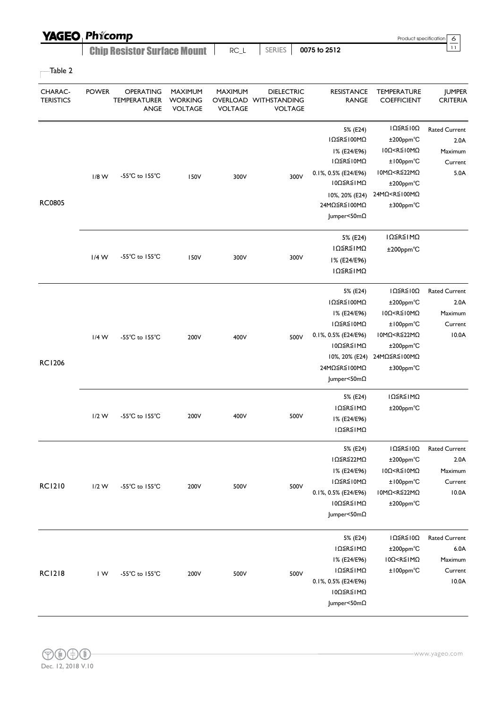| <b>YAGEO Phicomp</b>        |              |                                          |                                             |                           |                                                              |      |                                                                                                                                                   | Product specification                                                                                                                                                                   | 6                                                           |
|-----------------------------|--------------|------------------------------------------|---------------------------------------------|---------------------------|--------------------------------------------------------------|------|---------------------------------------------------------------------------------------------------------------------------------------------------|-----------------------------------------------------------------------------------------------------------------------------------------------------------------------------------------|-------------------------------------------------------------|
|                             |              | <b>Chip Resistor Surface Mount</b>       |                                             | $RC_L$                    | <b>SERIES</b>                                                |      | 0075 to 2512                                                                                                                                      |                                                                                                                                                                                         | 11                                                          |
| -Table 2                    |              |                                          |                                             |                           |                                                              |      |                                                                                                                                                   |                                                                                                                                                                                         |                                                             |
| CHARAC-<br><b>TERISTICS</b> | <b>POWER</b> | OPERATING<br><b>TEMPERATURER</b><br>ANGE | MAXIMUM<br><b>WORKING</b><br><b>VOLTAGE</b> | MAXIMUM<br><b>VOLTAGE</b> | <b>DIELECTRIC</b><br>OVERLOAD WITHSTANDING<br><b>VOLTAGE</b> |      | <b>RESISTANCE</b><br><b>RANGE</b>                                                                                                                 | <b>TEMPERATURE</b><br><b>COEFFICIENT</b>                                                                                                                                                | <b>JUMPER</b><br><b>CRITERIA</b>                            |
|                             | $1/8$ W      | $-55^{\circ}$ C to $155^{\circ}$ C       | 150V                                        | 300V                      |                                                              | 300V | 5% (E24)<br>IΩ≦R≦100MΩ<br>I% (E24/E96)<br>ΙΩ≦R≦Ι0ΜΩ<br>0.1%, 0.5% (E24/E96)<br>10Ω≦R≦1MΩ                                                          | $IΩ$ ≦R≦ $I$ 0Ω<br>±200ppm°C<br>$10\Omega < R \le 10 M\Omega$<br>$±100$ ppm $°C$<br>10MΩ <r≦22mω<br><math>±200</math>ppm<math>°C</math></r≦22mω<br>                                     | <b>Rated Current</b><br>2.0A<br>Maximum<br>Current<br>5.0A  |
| <b>RC0805</b>               |              |                                          |                                             |                           |                                                              |      | 10%, 20% (E24)<br>24MΩ≦R≦100MΩ<br>Jumper<50mΩ                                                                                                     | 24MΩ <r≦100mω<br>±300ppm°C</r≦100mω<br>                                                                                                                                                 |                                                             |
|                             | $1/4$ W      | -55 $^{\circ}$ C to 155 $^{\circ}$ C     | 150V                                        | 300V                      |                                                              | 300V | 5% (E24)<br>ΙΩ≦R≦ΙΜΩ<br>I% (E24/E96)<br>ΙΩ≦R≦ΙΜΩ                                                                                                  | ΙΩ≦R≦ΙΜΩ<br>$±200$ ppm $°C$                                                                                                                                                             |                                                             |
| <b>RC1206</b>               | $1/4$ W      | -55 $^{\circ}$ C to 155 $^{\circ}$ C     | 200V                                        | 400V                      |                                                              | 500V | 5% (E24)<br>IΩ≦R≦100MΩ<br>I% (E24/E96)<br>ΙΩ≦R≦Ι0ΜΩ<br>0.1%, 0.5% (E24/E96)<br>10Ω≦R≦1MΩ<br>10%, 20% (E24)<br>24MΩ≦R≦100MΩ<br>Jumper<50m $\Omega$ | $I\Omega \leq R \leq I\ 0\Omega$<br>±200ppm°C<br>10Ω <r≦10mω<br><math>±100</math>ppm<math>°C</math><br/>10MΩ<r≦22mω<br>±200ppm°C<br/>24MΩ≦R≦100MΩ<br/>±300ppm°C</r≦22mω<br></r≦10mω<br> | <b>Rated Current</b><br>2.0A<br>Maximum<br>Current<br>10.0A |
|                             | $1/2$ W      | -55°C to 155°C                           | 200V                                        | 400V                      |                                                              | 500V | 5% (E24)<br>ΙΩ≦R≦ΙΜΩ<br>I% (E24/E96)<br>ΙΩ≦R≦ΙΜΩ                                                                                                  | ΙΩ≦R≦ΙΜΩ<br>±200ppm°C                                                                                                                                                                   |                                                             |
| <b>RC1210</b>               | $1/2$ W      | -55°C to 155°C                           | 200V                                        | 500V                      |                                                              | 500V | 5% (E24)<br>IΩ≦R≦22MΩ<br>I% (E24/E96)<br>ΙΩ≦R≦Ι0ΜΩ<br>0.1%, 0.5% (E24/E96)<br>10Ω≦R≦1MΩ<br>Jumper<50mΩ                                            | $I\Omega \leq R \leq I\Omega$<br>±200ppm°C<br>10Ω <r≦10mω<br>±100ppm°C<br/>10MΩ<r≦22mω<br>±200ppm°C</r≦22mω<br></r≦10mω<br>                                                             | <b>Rated Current</b><br>2.0A<br>Maximum<br>Current<br>10.0A |
| <b>RC1218</b>               | IW           | -55°C to 155°C                           | 200V                                        | 500V                      |                                                              | 500V | 5% (E24)<br>ΙΩ≦R≦ΙΜΩ<br>I% (E24/E96)<br>ΙΩ≦R≦ΙΜΩ<br>0.1%, 0.5% (E24/E96)<br>10Ω≦R≦1MΩ<br>Jumper<50mΩ                                              | $I\Omega \leq R \leq I\Omega$<br>±200ppm°C<br>10Ω <r≦1mω<br>±100ppm°C</r≦1mω<br>                                                                                                        | <b>Rated Current</b><br>6.0A<br>Maximum<br>Current<br>10.0A |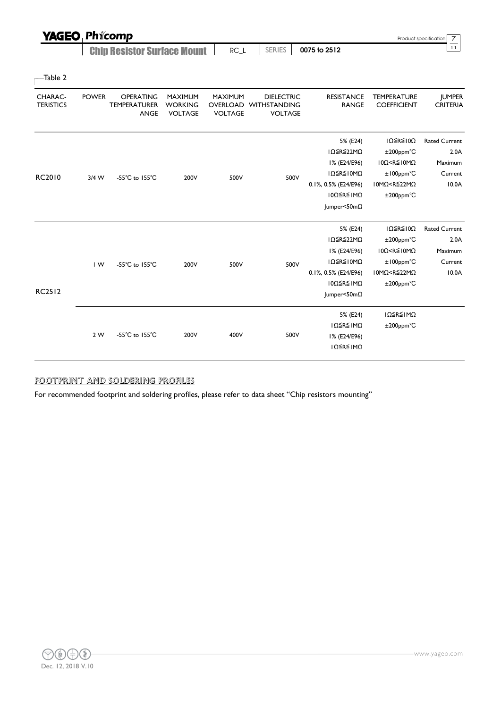| <b>YAGEO</b>                |              | Phicomp                                         |                                                    |                                              |                                                            |                                   |                                          | $\overline{7}$<br>Product specification |
|-----------------------------|--------------|-------------------------------------------------|----------------------------------------------------|----------------------------------------------|------------------------------------------------------------|-----------------------------------|------------------------------------------|-----------------------------------------|
|                             |              | <b>Chip Resistor Surface Mount</b>              |                                                    | $RC_L$                                       | <b>SERIES</b>                                              | 0075 to 2512                      |                                          | 11                                      |
| Table 2                     |              |                                                 |                                                    |                                              |                                                            |                                   |                                          |                                         |
| CHARAC-<br><b>TERISTICS</b> | <b>POWER</b> | <b>OPERATING</b><br><b>TEMPERATURER</b><br>ANGE | <b>MAXIMUM</b><br><b>WORKING</b><br><b>VOLTAGE</b> | <b>MAXIMUM</b><br>OVERLOAD<br><b>VOLTAGE</b> | <b>DIELECTRIC</b><br><b>WITHSTANDING</b><br><b>VOLTAGE</b> | <b>RESISTANCE</b><br><b>RANGE</b> | <b>TEMPERATURE</b><br><b>COEFFICIENT</b> | <b>JUMPER</b><br><b>CRITERIA</b>        |
|                             |              |                                                 |                                                    |                                              |                                                            | 5% (E24)                          | IΩ ≤ R ≤ I0Ω                             | <b>Rated Current</b>                    |
|                             |              |                                                 |                                                    |                                              |                                                            | IΩ≦R≦22MΩ                         | $±200$ ppm $°C$                          | 2.0A                                    |
|                             |              |                                                 |                                                    |                                              |                                                            | I% (E24/E96)                      | 10Ω < R ≤ 10MΩ                           | Maximum                                 |

1Ω≦R≦10MΩ

0.1%, 0.5% (E24/E96) 10MΩ<R≦22MΩ

±100ppm℃

Current 10.0A

|               |     |                                    |      |      |      | 10Ω≦R≦IMΩ              | $±200$ ppm $°C$                               |                      |
|---------------|-----|------------------------------------|------|------|------|------------------------|-----------------------------------------------|----------------------|
|               |     |                                    |      |      |      | Jumper<50mΩ            |                                               |                      |
|               |     |                                    |      |      |      | 5% (E24)               | $I\Omega \leq R \leq I\ 0\Omega$              | <b>Rated Current</b> |
|               |     |                                    |      |      |      | IΩ≦R≦22MΩ              | $±200$ ppm $°C$                               | 2.0A                 |
|               |     |                                    |      |      |      | I% (E24/E96)           | 10Ω <r≦10mω< td=""><td>Maximum</td></r≦10mω<> | Maximum              |
|               | IW. | $-55^{\circ}$ C to $155^{\circ}$ C | 200V | 500V | 500V | ΙΩ≦R≦Ι0ΜΩ              | $±100$ ppm $°C$                               | Current              |
|               |     |                                    |      |      |      | 0.1%, 0.5% (E24/E96)   | 10MΩ <r≦22mω< td=""><td>10.0A</td></r≦22mω<>  | 10.0A                |
|               |     |                                    |      |      |      | 10Ω≦R≦1MΩ              | $±200$ ppm $°C$                               |                      |
| <b>RC2512</b> |     |                                    |      |      |      | $ $ umper<50m $\Omega$ |                                               |                      |
|               |     |                                    |      |      |      | 5% (E24)               | ΙΩ≦R≦ΙΜΩ                                      |                      |
|               |     |                                    |      |      |      |                        |                                               |                      |
|               | 2 W | $-55^{\circ}$ C to $155^{\circ}$ C |      |      |      | ΙΩ≦R≦ΙΜΩ               | $±200$ ppm $°C$                               |                      |
|               |     |                                    | 200V | 400V | 500V | I% (E24/E96)           |                                               |                      |
|               |     |                                    |      |      |      | ΙΩ≦R≦ΙΜΩ               |                                               |                      |
|               |     |                                    |      |      |      |                        |                                               |                      |

#### FOOTPRINT AND SOLDERING PROFILES

For recommended footprint and soldering profiles, please refer to data sheet "Chip resistors mounting"

RC2010 3/4 W -55℃ to 155℃ 200V 500V 500V 500V



www.yageo.com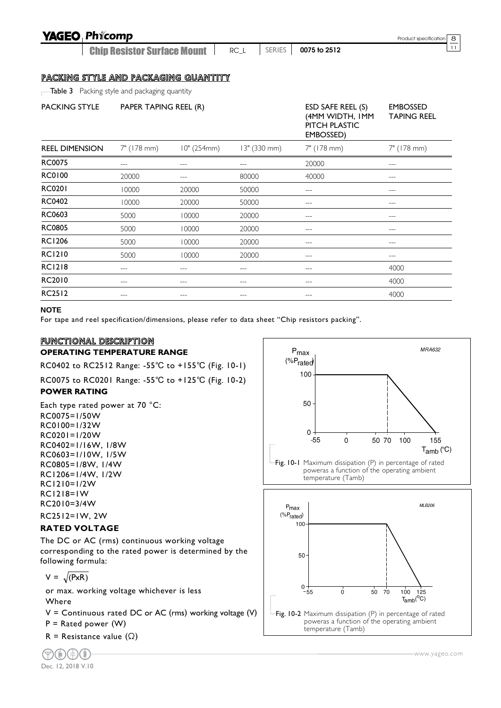| <b>YAGEO Phicomp</b>                                |                                    |                                                                                                                                                                                                                                                                                                                                                                                                                                                |              |        |                                                                    | Product specification                 | 8  |
|-----------------------------------------------------|------------------------------------|------------------------------------------------------------------------------------------------------------------------------------------------------------------------------------------------------------------------------------------------------------------------------------------------------------------------------------------------------------------------------------------------------------------------------------------------|--------------|--------|--------------------------------------------------------------------|---------------------------------------|----|
|                                                     | <b>Chip Resistor Surface Mount</b> |                                                                                                                                                                                                                                                                                                                                                                                                                                                | $RC_L$       | SERIES | 0075 to 2512                                                       |                                       | 11 |
| <u>PACKING STYLE AND PACKAGING QUANTITY</u>         |                                    |                                                                                                                                                                                                                                                                                                                                                                                                                                                |              |        |                                                                    |                                       |    |
| <b>Table 3</b> Packing style and packaging quantity |                                    |                                                                                                                                                                                                                                                                                                                                                                                                                                                |              |        |                                                                    |                                       |    |
| <b>PACKING STYLE</b>                                | PAPER TAPING REEL (R)              |                                                                                                                                                                                                                                                                                                                                                                                                                                                |              |        | ESD SAFE REEL (S)<br>(4MM WIDTH, IMM<br>PITCH PLASTIC<br>EMBOSSED) | <b>EMBOSSED</b><br><b>TAPING REEL</b> |    |
| <b>REEL DIMENSION</b>                               | 7" (178 mm)                        | 10" (254mm)                                                                                                                                                                                                                                                                                                                                                                                                                                    | 13" (330 mm) |        | 7" (178 mm)                                                        | 7" (178 mm)                           |    |
| <b>RC0075</b>                                       | ---                                |                                                                                                                                                                                                                                                                                                                                                                                                                                                | ---          |        | 20000                                                              | ---                                   |    |
| <b>RC0100</b>                                       | 20000                              | ---                                                                                                                                                                                                                                                                                                                                                                                                                                            | 80000        |        | 40000                                                              | ---                                   |    |
| <b>RC0201</b>                                       | 10000                              | 20000                                                                                                                                                                                                                                                                                                                                                                                                                                          | 50000        |        | $---$                                                              | ---                                   |    |
| RC0402                                              | 10000                              | 20000                                                                                                                                                                                                                                                                                                                                                                                                                                          | 50000        |        | ---                                                                | ---                                   |    |
| RC0603                                              | 5000                               | 10000                                                                                                                                                                                                                                                                                                                                                                                                                                          | 20000        |        | ---                                                                | ---                                   |    |
| <b>RC0805</b>                                       | 5000                               | 10000                                                                                                                                                                                                                                                                                                                                                                                                                                          | 20000        |        | ---                                                                | ---                                   |    |
| <b>RC1206</b>                                       | 5000                               | 10000                                                                                                                                                                                                                                                                                                                                                                                                                                          | 20000        |        | ---                                                                |                                       |    |
| <b>RC1210</b>                                       | 5000                               | 10000                                                                                                                                                                                                                                                                                                                                                                                                                                          | 20000        |        | $---$                                                              | ---                                   |    |
| <b>RC1218</b>                                       | $---$                              | $---$                                                                                                                                                                                                                                                                                                                                                                                                                                          | ---          |        | $---$                                                              | 4000                                  |    |
| RC2010                                              |                                    | ---                                                                                                                                                                                                                                                                                                                                                                                                                                            | ---          |        |                                                                    | 4000                                  |    |
| <b>RC2512</b>                                       | ---                                | $\frac{1}{2} \left( \frac{1}{2} \right) + \frac{1}{2} \left( \frac{1}{2} \right) + \frac{1}{2} \left( \frac{1}{2} \right) + \frac{1}{2} \left( \frac{1}{2} \right) + \frac{1}{2} \left( \frac{1}{2} \right) + \frac{1}{2} \left( \frac{1}{2} \right) + \frac{1}{2} \left( \frac{1}{2} \right) + \frac{1}{2} \left( \frac{1}{2} \right) + \frac{1}{2} \left( \frac{1}{2} \right) + \frac{1}{2} \left( \frac{1}{2} \right) + \frac{1}{2} \left($ | ---          |        | ---                                                                | 4000                                  |    |

#### **NOTE**

For tape and reel specification/dimensions, please refer to data sheet "Chip resistors packing".

#### FUNCTIONAL DESCRIPTION

#### **OPERATING TEMPERATURE RANGE**

RC0402 to RC2512 Range: -55℃ to +155℃ (Fig. 10-1)

RC0075 to RC0201 Range: -55℃ to +125℃ (Fig. 10-2)

#### **POWER RATING**

Each type rated power at 70 °C: RC0075=1/50W RC0100=1/32W RC0201=1/20W RC0402=1/16W, 1/8W RC0603=1/10W, 1/5W RC0805=1/8W, 1/4W RC1206=1/4W, 1/2W RC1210=1/2W RC1218=1W RC2010=3/4W RC2512=1W, 2W

#### **RATED VOLTAGE**

The DC or AC (rms) continuous working voltage corresponding to the rated power is determined by the following formula:

$$
V = \sqrt{PxR}
$$

or max. working voltage whichever is less

#### Where

 $V =$  Continuous rated DC or AC (rms) working voltage (V)

 $P =$  Rated power  $(W)$ 

R = Resistance value  $(\Omega)$ 



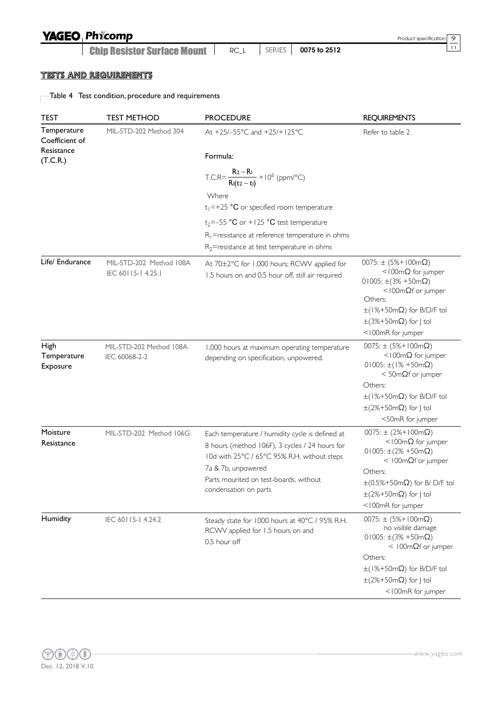## **YAGEO Phicomp**

Chip Resistor Surface Mount <sup>11</sup> RC\_L SERIES **0075 to 2512**

### TESTS AND REQUIREMENTS

Table 4 Test condition, procedure and requirements

| <b>TEST</b>                                 | <b>TEST METHOD</b>                           | <b>PROCEDURE</b>                                                                                                                                                                                                                         | <b>REQUIREMENTS</b>                                                                                                                                                                                                                                        |
|---------------------------------------------|----------------------------------------------|------------------------------------------------------------------------------------------------------------------------------------------------------------------------------------------------------------------------------------------|------------------------------------------------------------------------------------------------------------------------------------------------------------------------------------------------------------------------------------------------------------|
| Temperature<br>Coefficient of<br>Resistance | MIL-STD-202 Method 304                       | At +25/-55°C and +25/+125°C                                                                                                                                                                                                              | Refer to table 2                                                                                                                                                                                                                                           |
| (T.C.R.)                                    |                                              | Formula:                                                                                                                                                                                                                                 |                                                                                                                                                                                                                                                            |
|                                             |                                              | T.C.R= $\frac{R_2 - R_1}{R_1(t_2 - t_1)} \times 10^6$ (ppm/°C)                                                                                                                                                                           |                                                                                                                                                                                                                                                            |
|                                             |                                              | Where<br>$t_1$ =+25 °C or specified room temperature                                                                                                                                                                                     |                                                                                                                                                                                                                                                            |
|                                             |                                              | $t_2 = -55$ °C or +125 °C test temperature<br>$R_1$ =resistance at reference temperature in ohms<br>$R_2$ =resistance at test temperature in ohms                                                                                        |                                                                                                                                                                                                                                                            |
| Life/ Endurance                             | MIL-STD-202 Method 108A<br>IEC 60115-14.25.1 | At 70±2°C for 1,000 hours; RCWV applied for<br>1.5 hours on and 0.5 hour off, still air required                                                                                                                                         | $0075: \pm (5\% + 100 \text{m}\Omega)$<br><100m $\Omega$ for jumper<br>$01005: \pm (3\% + 50m\Omega)$<br>$<$ 100m $\Omega$ f or jumper<br>Others:<br>$\pm$ (1%+50m $\Omega$ ) for B/D/F tol<br>$\pm$ (3%+50m $\Omega$ ) for J tol<br><100mR for jumper     |
| High<br>Temperature<br>Exposure             | MIL-STD-202 Method 108A<br>IEC 60068-2-2     | 1,000 hours at maximum operating temperature<br>depending on specification, unpowered.                                                                                                                                                   | $0075: \pm (5\% + 100 \text{m}\Omega)$<br><100m $\Omega$ for jumper<br>$01005: \pm (1\% + 50m\Omega)$<br>$<$ 50m $\Omega$ f or jumper<br>Others:<br>$\pm$ (1%+50m $\Omega$ ) for B/D/F tol<br>$\pm$ (2%+50m $\Omega$ ) for J tol<br><50mR for jumper       |
| Moisture<br>Resistance                      | MIL-STD-202 Method 106G                      | Each temperature / humidity cycle is defined at<br>8 hours (method 106F), 3 cycles / 24 hours for<br>10d with 25°C / 65°C 95% R.H, without steps<br>7a & 7b, unpowered<br>Parts mounted on test-boards, without<br>condensation on parts | $0075: \pm (2%+100m\Omega)$<br><100m $\Omega$ for jumper<br>$01005: \pm (2\% + 50m\Omega)$<br>< $100 \text{m}\Omega$ f or jumper<br>Others:<br>$\pm (0.5\% + 50 \text{m}\Omega)$ for B/ D/F tol<br>$\pm$ (2%+50m $\Omega$ ) for J tol<br><100mR for jumper |
| Humidity                                    | IEC 60115-14.24.2                            | Steady state for 1000 hours at 40°C / 95% R.H.<br>RCWV applied for 1.5 hours on and<br>0.5 hour off                                                                                                                                      | $0075: \pm (5\% + 100 \text{m}\Omega)$<br>no visible damage<br>$01005: \pm (3\% + 50m\Omega)$<br>$<$ 100m $\Omega$ f or jumper<br>Others:<br>$\pm$ (1%+50m $\Omega$ ) for B/D/F tol<br>$\pm$ (2%+50m $\Omega$ ) for J tol<br><100mR for jumper             |

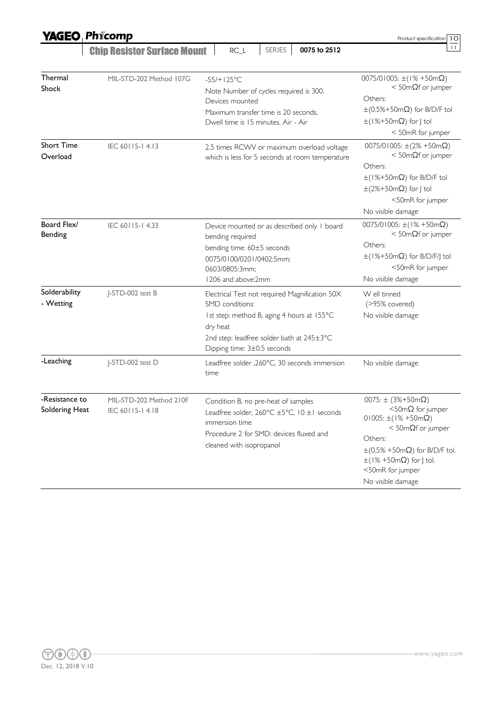|                                  | <b>YAGEO Phicomp</b>                       |                                                                                                                                                                                                         | Product specification<br>10                                                                                                                                                                                                                                                    |
|----------------------------------|--------------------------------------------|---------------------------------------------------------------------------------------------------------------------------------------------------------------------------------------------------------|--------------------------------------------------------------------------------------------------------------------------------------------------------------------------------------------------------------------------------------------------------------------------------|
|                                  | <b>Chip Resistor Surface Mount</b>         | <b>SERIES</b><br>0075 to 2512<br>$RC_L$                                                                                                                                                                 | 11                                                                                                                                                                                                                                                                             |
| Thermal<br>Shock                 | MIL-STD-202 Method 107G                    | $-55/+125°C$<br>Note Number of cycles required is 300.<br>Devices mounted<br>Maximum transfer time is 20 seconds.<br>Dwell time is 15 minutes. Air - Air                                                | $0075/01005$ : ±(1% +50m $\Omega$ )<br>$<$ 50m $\Omega$ f or jumper<br>Others:<br>$\pm (0.5\% + 50 \text{m}\Omega)$ for B/D/F tol<br>$\pm$ (1%+50m $\Omega$ ) for J tol<br>< 50mR for jumper                                                                                   |
| <b>Short Time</b><br>Overload    | IEC 60115-14.13                            | 2.5 times RCWV or maximum overload voltage<br>which is less for 5 seconds at room temperature                                                                                                           | $0075/01005$ : $\pm(2% +50m\Omega)$<br>$<$ 50m $\Omega$ f or jumper<br>Others:<br>$\pm$ (1%+50m $\Omega$ ) for B/D/F tol<br>$\pm$ (2%+50m $\Omega$ ) for J tol<br><50mR for jumper<br>No visible damage                                                                        |
| Board Flex/<br>Bending           | IEC 60115-14.33                            | Device mounted or as described only I board<br>bending required<br>bending time: 60±5 seconds<br>0075/0100/0201/0402:5mm;<br>0603/0805:3mm;<br>1206 and above:2mm                                       | $0075/01005$ : ±(1% +50m $\Omega$ )<br>$<$ 50m $\Omega$ f or jumper<br>Others:<br>$\pm$ (1%+50m $\Omega$ ) for B/D/F/J tol<br><50mR for jumper<br>No visible damage                                                                                                            |
| Solderability<br>- Wetting       | J-STD-002 test B                           | Electrical Test not required Magnification 50X<br>SMD conditions:<br>Ist step: method B, aging 4 hours at 155°C<br>dry heat<br>2nd step: leadfree solder bath at 245±3°C<br>Dipping time: 3±0.5 seconds | W ell tinned<br>(>95% covered)<br>No visible damage                                                                                                                                                                                                                            |
| -Leaching                        | J-STD-002 test D                           | Leadfree solder , 260°C, 30 seconds immersion<br>time                                                                                                                                                   | No visible damage                                                                                                                                                                                                                                                              |
| -Resistance to<br>Soldering Heat | MIL-STD-202 Method 210F<br>IEC 60115-14.18 | Condition B, no pre-heat of samples<br>Leadfree solder, $260^{\circ}$ C ±5°C, $10 \pm 1$ seconds<br>immersion time<br>Procedure 2 for SMD: devices fluxed and<br>cleaned with isopropanol               | 0075: $\pm$ (3%+50m $\Omega$ )<br>$<$ 50m $\Omega$ for jumper<br>$01005: \pm (1\% + 50m\Omega)$<br>$<$ 50m $\Omega$ f or jumper<br>Others:<br>$\pm$ (0.5% +50m $\Omega$ ) for B/D/F tol.<br>$\pm(1\% + 50 \text{m}\Omega)$ for J tol.<br><50mR for jumper<br>No visible damage |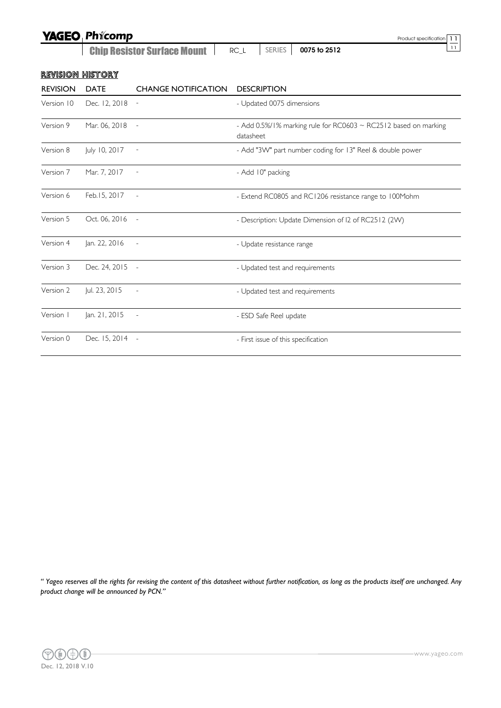|                         | <b>YAGEO Phicomp</b><br>11<br>Product specification |                            |                                                                              |  |  |
|-------------------------|-----------------------------------------------------|----------------------------|------------------------------------------------------------------------------|--|--|
|                         | <b>Chip Resistor Surface Mount</b>                  | 11<br>0075 to 2512         |                                                                              |  |  |
| <b>REVISION HISTORY</b> |                                                     |                            |                                                                              |  |  |
| <b>REVISION</b>         | <b>DATE</b>                                         | <b>CHANGE NOTIFICATION</b> | <b>DESCRIPTION</b>                                                           |  |  |
| Version 10              | Dec. 12, 2018                                       | $\overline{\phantom{a}}$   | - Updated 0075 dimensions                                                    |  |  |
| Version 9               | Mar. 06, 2018                                       | $\overline{\phantom{a}}$   | - Add 0.5%/1% marking rule for RC0603 ~ RC2512 based on marking<br>datasheet |  |  |
| Version 8               | July 10, 2017                                       | $\sim$ $-$                 | - Add "3W" part number coding for 13" Reel & double power                    |  |  |
| Version 7               | Mar. 7, 2017                                        |                            | - Add 10" packing                                                            |  |  |
| Version 6               | Feb. 15, 2017                                       | $\sim$                     | - Extend RC0805 and RC1206 resistance range to 100Mohm                       |  |  |
| Version 5               | Oct. 06, 2016 -                                     |                            | - Description: Update Dimension of I2 of RC2512 (2W)                         |  |  |
| Version 4               | Jan. 22, 2016                                       | $\sim$                     | - Update resistance range                                                    |  |  |
| Version 3               | Dec. 24, 2015 -                                     |                            | - Updated test and requirements                                              |  |  |
| Version 2               | Jul. 23, 2015                                       | $\overline{\phantom{a}}$   | - Updated test and requirements                                              |  |  |
| Version                 | Jan. 21, 2015                                       | $\overline{\phantom{a}}$   | - ESD Safe Reel update                                                       |  |  |
| Version 0               | Dec. 15, 2014                                       | $\sim$                     | - First issue of this specification                                          |  |  |

*" Yageo reserves all the rights for revising the content of this datasheet without further notification, as long as the products itself are unchanged. Any product change will be announced by PCN."*